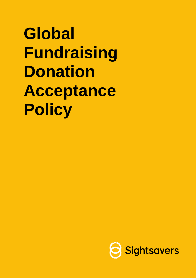**Global Fundraising Donation Acceptance Policy**

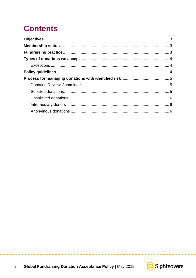# **Contents**



. . . . . . . . . . . . . . . . .

. . . . . . . . .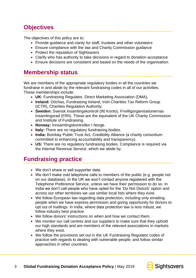# <span id="page-2-0"></span>**Objectives**

The objectives of this policy are to:

- Provide guidance and clarity for staff, trustees and other volunteers
- Ensure compliance with the law and Charity Commission guidance
- Protect the reputation of Sightsavers
- Clarify who has authority to take decisions in regard to donation acceptance
- Ensure decisions are consistent and based on the needs of the organisation.

### <span id="page-2-1"></span>**Membership status**

We are members of the appropriate regulatory bodies in all the countries we fundraise in and abide by the relevant fundraising codes in all of our activities. These memberships include:

- **UK:** Fundraising Regulator, Direct Marketing Association (DMA).
- **Ireland:** Dóchas, Fundraising Ireland, Irish Charities Tax Reform Group (ICTR), Charities Regulation Authority.
- **Sweden:** Svensk Insamlingskontroll (90 Konto), Frivilligorganisationernas Insamlingsrad (FRII). These are the equivalent of the UK Charity Commission and Institute of Fundraising.
- **Norway:** Innsamlingskontrollen I Norge.
- **Italy:** There are no regulatory fundraising bodies.
- **India:** Bombay Public Trust Act, Credibility Alliance (a charity consortium committed to enhancing accountability and transparency).
- **US:** There are no regulatory fundraising bodies. Compliance is required via the Internal Revenue Service, which we abide by.

### <span id="page-2-2"></span>**Fundraising practice**

- We don't share or sell supporter data.
- We don't make cold telephone calls to members of the public (e.g. people not on our database). In the UK we won't contact anyone registered with the Telephone Preference Service, unless we have their permission to do so. In India we don't call people who have opted for the 'Do Not Disturb' option and across our other territories we use similar local lists where they exist.
- We follow European law regarding data protection, including only emailing people when we have express permission and giving opportunity for donors to opt out of mailings. In India, where data protection law is less robust, we follow industry best practice.
- We follow donors' instructions on when and how we contact them.
- We monitor our call centres and our suppliers to make sure that they uphold our high standards and are members of the relevant associations in markets where they exist.
- We follow the provisions set out in the UK Fundraising Regulator codes of practice with regards to dealing with vulnerable people, and follow similar approaches in other countries.

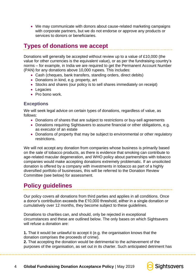• We may communicate with donors about cause-related marketing campaigns with corporate partners, but we do not endorse or approve any products or services to donors or beneficiaries.

### <span id="page-3-0"></span>**Types of donations we accept**

Donations will generally be accepted without review up to a value of £10,000 (the value for other currencies is the equivalent value), or as per the fundraising country's norms – for example, in India we are required to get the Permanent Account Number (PAN) for any donations above 10,000 rupees. This includes:

- Cash (cheques, bank transfers, standing orders, direct debits)
- Donations in kind, e.g. property, art
- Stocks and shares (our policy is to sell shares immediately on receipt)
- Legacies
- Pro bono work.

#### <span id="page-3-1"></span>**Exceptions**

We will seek legal advice on certain types of donations, regardless of value, as follows:

- Donations of shares that are subject to restrictions or buy-sell agreements
- Donations requiring Sightsavers to assume financial or other obligations, e.g. as executor of an estate
- Donations of property that may be subject to environmental or other regulatory restrictions.

We will not accept any donation from companies whose business is primarily based on the sale of tobacco products, as there is evidence that smoking can contribute to age-related macular degeneration, and WHO policy about partnerships with tobacco companies would make accepting donations extremely problematic. If an unsolicited donation is offered by a company with investments in tobacco as part of a highly diversified portfolio of businesses, this will be referred to the Donation Review Committee (see below) for assessment.

### <span id="page-3-2"></span>**Policy guidelines**

Our policy covers all donations from third parties and applies in all conditions. Once a donor's contribution exceeds the £10,000 threshold, either in a single donation or cumulatively over 12 months, they become subject to these guidelines.

Donations to charities can, and should, only be rejected in exceptional circumstances and these are outlined below. The only bases on which Sightsavers will refuse a donation are:

**1.** That it would be unlawful to accept it (e.g. the organisation knows that the donation comprises the proceeds of crime).

**2.** That accepting the donation would be detrimental to the achievement of the purposes of the organisation, as set out in its charter. Such anticipated detriment has

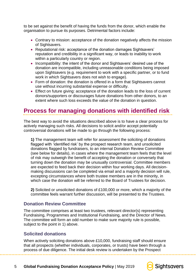to be set against the benefit of having the funds from the donor, which enable the organisation to pursue its purposes. Detrimental factors include:

- Contrary to mission: acceptance of the donation negatively affects the mission of Sightsavers.
- Reputational risk: acceptance of the donation damages Sightsavers' reputation and credibility in a significant way, or leads to inability to work within a particularly country or region.
- Incompatibility: the intent of the donor and Sightsavers' desired use of the donation are incompatible, including unreasonable conditions being imposed upon Sightsavers (e.g. requirement to work with a specific partner, or to fund work in which Sightsavers does not wish to engage).
- Form of donation: the donation is offered in a form that Sightsavers cannot use without incurring substantial expense or difficulty.
- Effect on future giving: acceptance of the donation leads to the loss of current donors/supporters or discourages future donations from other donors, to an extent where such loss exceeds the value of the donation in question.

# <span id="page-4-0"></span>**Process for managing donations with identified risk**

The best way to avoid the situations described above is to have a clear process for actively managing such risks. All decisions to solicit and/or accept potentially controversial donations will be made to go through the following process:

**1)** The management team will refer for assessment the soliciting of donations flagged with 'identified risk' by the prospect research team, and unsolicited donations flagged by fundraisers, to an internal Donation Review Committee (see below for details), in cases where the management team feels that the level of risk may outweigh the benefit of accepting the donation or conversely that turning down the donation may be unusually controversial. Committee members are expected to feed back their decision within four working days. All decisionmaking discussions can be completed via email and a majority decision will rule, excepting circumstances where both trustee members are in the minority, in which case the donation will be referred to the Board of Trustees for decision.

**2)** Solicited or unsolicited donations of £100,000 or more, which a majority of the committee feels warrant further discussion, will be presented to the Trustees.

### <span id="page-4-1"></span>**Donation Review Committee**

The committee comprises at least two trustees, relevant director(s) representing Fundraising, Programmes and Institutional Fundraising, and the Director of News. The committee will form an odd number to make sure majority rule is possible, subject to the point in 1) above.

### <span id="page-4-2"></span>**Solicited donations**

When actively soliciting donations above £10,000, fundraising staff should ensure that all prospects (whether individuals, corporates, or trusts) have been through a process of due diligence. The initial desk review is undertaken by the Prospect



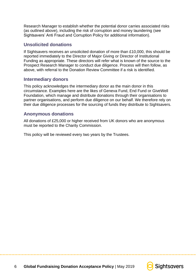Research Manager to establish whether the potential donor carries associated risks (as outlined above), including the risk of corruption and money laundering (see Sightsavers' Anti Fraud and Corruption Policy for additional information).

### <span id="page-5-0"></span>**Unsolicited donations**

If Sightsavers receives an unsolicited donation of more than £10,000, this should be reported immediately to the Director of Major Giving or Director of Institutional Funding as appropriate. These directors will refer what is known of the source to the Prospect Research Manager to conduct due diligence. Process will then follow, as above, with referral to the Donation Review Committee if a risk is identified.

#### <span id="page-5-1"></span>**Intermediary donors**

This policy acknowledges the intermediary donor as the main donor in this circumstance. Examples here are the likes of Geneva Fund, End Fund or GiveWell Foundation, which manage and distribute donations through their organisations to partner organisations, and perform due diligence on our behalf. We therefore rely on their due diligence processes for the sourcing of funds they distribute to Sightsavers.

#### <span id="page-5-2"></span>**Anonymous donations**

All donations of £25,000 or higher received from UK donors who are anonymous must be reported to the Charity Commission.

This policy will be reviewed every two years by the Trustees.